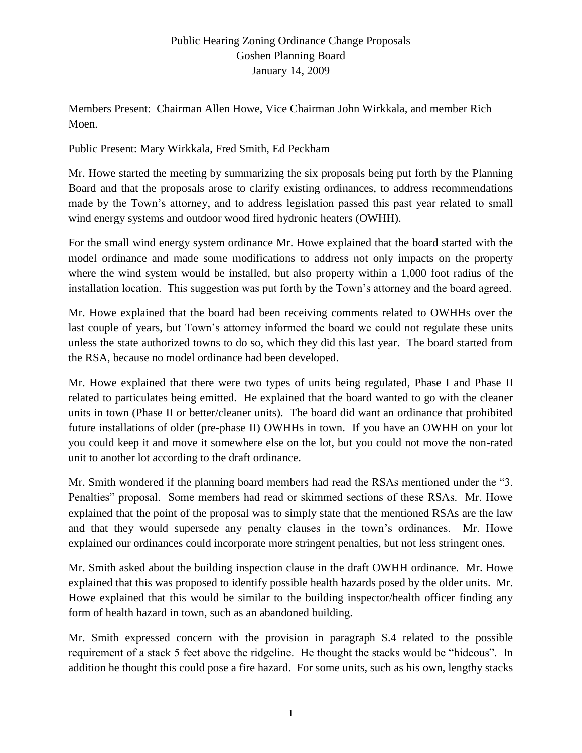Members Present: Chairman Allen Howe, Vice Chairman John Wirkkala, and member Rich Moen.

#### Public Present: Mary Wirkkala, Fred Smith, Ed Peckham

Mr. Howe started the meeting by summarizing the six proposals being put forth by the Planning Board and that the proposals arose to clarify existing ordinances, to address recommendations made by the Town's attorney, and to address legislation passed this past year related to small wind energy systems and outdoor wood fired hydronic heaters (OWHH).

For the small wind energy system ordinance Mr. Howe explained that the board started with the model ordinance and made some modifications to address not only impacts on the property where the wind system would be installed, but also property within a 1,000 foot radius of the installation location. This suggestion was put forth by the Town's attorney and the board agreed.

Mr. Howe explained that the board had been receiving comments related to OWHHs over the last couple of years, but Town's attorney informed the board we could not regulate these units unless the state authorized towns to do so, which they did this last year. The board started from the RSA, because no model ordinance had been developed.

Mr. Howe explained that there were two types of units being regulated, Phase I and Phase II related to particulates being emitted. He explained that the board wanted to go with the cleaner units in town (Phase II or better/cleaner units). The board did want an ordinance that prohibited future installations of older (pre-phase II) OWHHs in town. If you have an OWHH on your lot you could keep it and move it somewhere else on the lot, but you could not move the non-rated unit to another lot according to the draft ordinance.

Mr. Smith wondered if the planning board members had read the RSAs mentioned under the "3. Penalties" proposal. Some members had read or skimmed sections of these RSAs. Mr. Howe explained that the point of the proposal was to simply state that the mentioned RSAs are the law and that they would supersede any penalty clauses in the town's ordinances. Mr. Howe explained our ordinances could incorporate more stringent penalties, but not less stringent ones.

Mr. Smith asked about the building inspection clause in the draft OWHH ordinance. Mr. Howe explained that this was proposed to identify possible health hazards posed by the older units. Mr. Howe explained that this would be similar to the building inspector/health officer finding any form of health hazard in town, such as an abandoned building.

Mr. Smith expressed concern with the provision in paragraph S.4 related to the possible requirement of a stack 5 feet above the ridgeline. He thought the stacks would be "hideous". In addition he thought this could pose a fire hazard. For some units, such as his own, lengthy stacks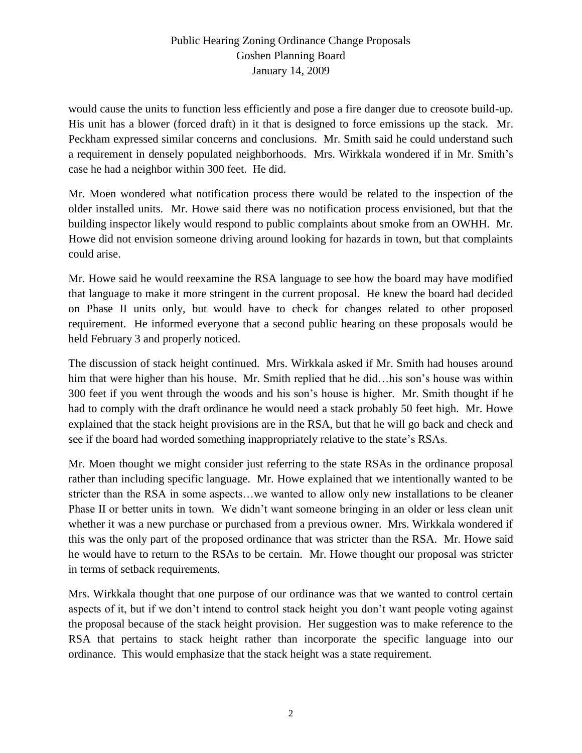would cause the units to function less efficiently and pose a fire danger due to creosote build-up. His unit has a blower (forced draft) in it that is designed to force emissions up the stack. Mr. Peckham expressed similar concerns and conclusions. Mr. Smith said he could understand such a requirement in densely populated neighborhoods. Mrs. Wirkkala wondered if in Mr. Smith's case he had a neighbor within 300 feet. He did.

Mr. Moen wondered what notification process there would be related to the inspection of the older installed units. Mr. Howe said there was no notification process envisioned, but that the building inspector likely would respond to public complaints about smoke from an OWHH. Mr. Howe did not envision someone driving around looking for hazards in town, but that complaints could arise.

Mr. Howe said he would reexamine the RSA language to see how the board may have modified that language to make it more stringent in the current proposal. He knew the board had decided on Phase II units only, but would have to check for changes related to other proposed requirement. He informed everyone that a second public hearing on these proposals would be held February 3 and properly noticed.

The discussion of stack height continued. Mrs. Wirkkala asked if Mr. Smith had houses around him that were higher than his house. Mr. Smith replied that he did…his son's house was within 300 feet if you went through the woods and his son's house is higher. Mr. Smith thought if he had to comply with the draft ordinance he would need a stack probably 50 feet high. Mr. Howe explained that the stack height provisions are in the RSA, but that he will go back and check and see if the board had worded something inappropriately relative to the state's RSAs.

Mr. Moen thought we might consider just referring to the state RSAs in the ordinance proposal rather than including specific language. Mr. Howe explained that we intentionally wanted to be stricter than the RSA in some aspects…we wanted to allow only new installations to be cleaner Phase II or better units in town. We didn't want someone bringing in an older or less clean unit whether it was a new purchase or purchased from a previous owner. Mrs. Wirkkala wondered if this was the only part of the proposed ordinance that was stricter than the RSA. Mr. Howe said he would have to return to the RSAs to be certain. Mr. Howe thought our proposal was stricter in terms of setback requirements.

Mrs. Wirkkala thought that one purpose of our ordinance was that we wanted to control certain aspects of it, but if we don't intend to control stack height you don't want people voting against the proposal because of the stack height provision. Her suggestion was to make reference to the RSA that pertains to stack height rather than incorporate the specific language into our ordinance. This would emphasize that the stack height was a state requirement.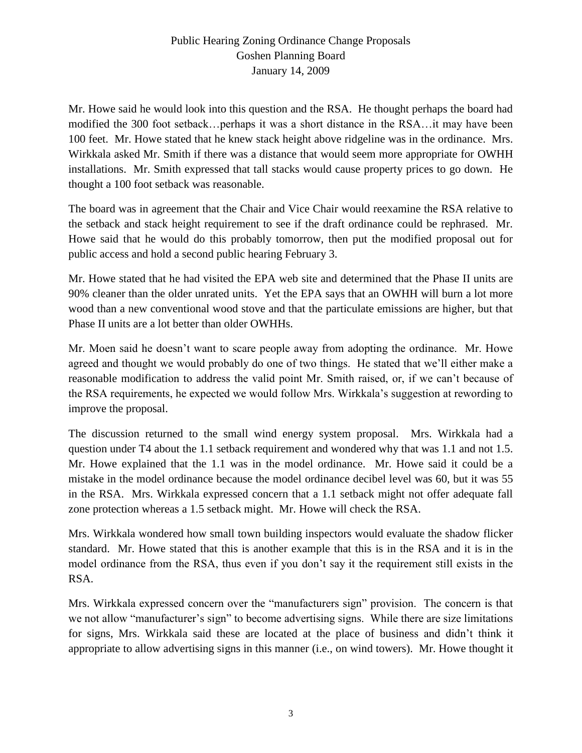Mr. Howe said he would look into this question and the RSA. He thought perhaps the board had modified the 300 foot setback…perhaps it was a short distance in the RSA…it may have been 100 feet. Mr. Howe stated that he knew stack height above ridgeline was in the ordinance. Mrs. Wirkkala asked Mr. Smith if there was a distance that would seem more appropriate for OWHH installations. Mr. Smith expressed that tall stacks would cause property prices to go down. He thought a 100 foot setback was reasonable.

The board was in agreement that the Chair and Vice Chair would reexamine the RSA relative to the setback and stack height requirement to see if the draft ordinance could be rephrased. Mr. Howe said that he would do this probably tomorrow, then put the modified proposal out for public access and hold a second public hearing February 3.

Mr. Howe stated that he had visited the EPA web site and determined that the Phase II units are 90% cleaner than the older unrated units. Yet the EPA says that an OWHH will burn a lot more wood than a new conventional wood stove and that the particulate emissions are higher, but that Phase II units are a lot better than older OWHHs.

Mr. Moen said he doesn't want to scare people away from adopting the ordinance. Mr. Howe agreed and thought we would probably do one of two things. He stated that we'll either make a reasonable modification to address the valid point Mr. Smith raised, or, if we can't because of the RSA requirements, he expected we would follow Mrs. Wirkkala's suggestion at rewording to improve the proposal.

The discussion returned to the small wind energy system proposal. Mrs. Wirkkala had a question under T4 about the 1.1 setback requirement and wondered why that was 1.1 and not 1.5. Mr. Howe explained that the 1.1 was in the model ordinance. Mr. Howe said it could be a mistake in the model ordinance because the model ordinance decibel level was 60, but it was 55 in the RSA. Mrs. Wirkkala expressed concern that a 1.1 setback might not offer adequate fall zone protection whereas a 1.5 setback might. Mr. Howe will check the RSA.

Mrs. Wirkkala wondered how small town building inspectors would evaluate the shadow flicker standard. Mr. Howe stated that this is another example that this is in the RSA and it is in the model ordinance from the RSA, thus even if you don't say it the requirement still exists in the RSA.

Mrs. Wirkkala expressed concern over the "manufacturers sign" provision. The concern is that we not allow "manufacturer's sign" to become advertising signs. While there are size limitations for signs, Mrs. Wirkkala said these are located at the place of business and didn't think it appropriate to allow advertising signs in this manner (i.e., on wind towers). Mr. Howe thought it